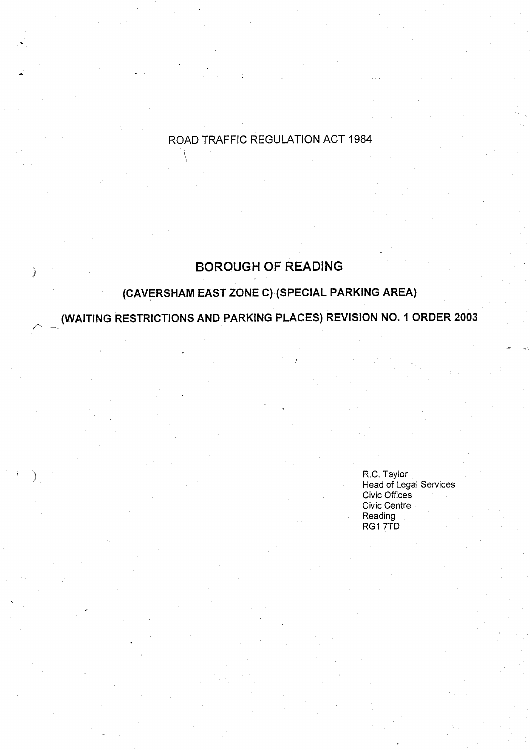# ROAD TRAFFIC REGULATION ACT 1984

# **BOROUGH OF READING**

€

# **(CAVERSHAM EAST ZONE C) (SPECIAL PARKING AREA )**

**(WAITING RESTRICTIONS AND PARKING PLACES) REVISION NO . I ORDER 2003**

R.C. Taylor **Head of Legal Services** Civic Offices Civic Centre **Reading** RG1 7TD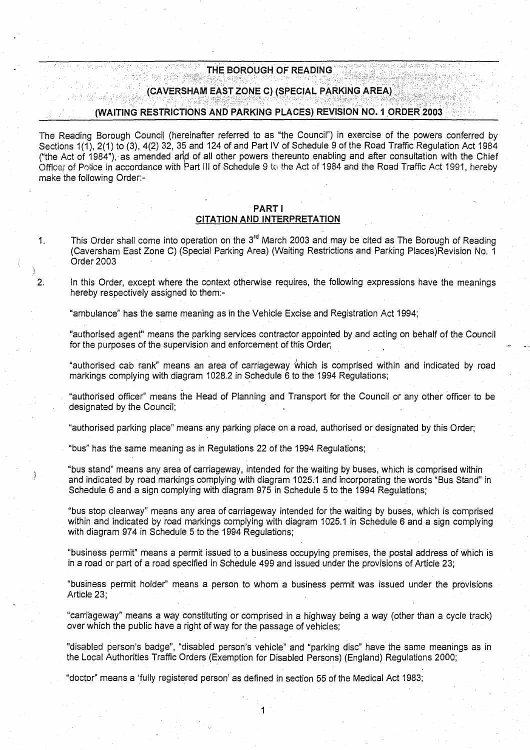# THE BOROUGH OF READING

# (CAVERSHAM EAST ZONE C) (SPECIAL PARKING AREA)

#### (WAITING RESTRICTIONS AND PARKING PLACES) REVISION NO **. 1 ORDER 200 3**

The Reading Borough Council (hereinafter referred to as "the Council") in exercise of the powers conferred by Sections 1(1), 2(1) to (3), 4(2) 32, 35 and 124 of and Part IV of Schedule 9 of the Road Traffic Regulation Act 1984 ("the Act of 1984"), as amended and of all other powers thereunto enabling and after consultation with the Chief Office? of Police in accordance with Part Ill of Schedule 9 to the Act of 1984 and the Road Traffic Act 1991, hereby THE BOROUGH OF RE<br>
(CAVERSHAM EAST ZONE C) (SPEC<br>
(WAITING RESTRICTIONS AND PARKING PLACE<br>
The Reading Borough Council (hereinafter referred to as "the C<br>
Sections 1(1), 2(1) to (3), 4(2) 32, 35 and 124 of and Part IV of S

# PART <sup>I</sup> **CITATION AND INTERPRETATION**

1. This Order shall come into operation on the 3<sup>rd</sup> March 2003 and may be cited as The Borough of Reading (Caversham East Zone C) (Special Parking Area) (Waiting Restrictions and Parking Places)Revision No . 1 Order 2003

2. In this Order, except where the context otherwise requires, the following expressions have the meanings hereby respectively assigned to them:-

"ambulance" has the same **meaning as** in the Vehicle Excise and Registration Act 1994 ;

"authorised agent" means the parking services contractor appointed by and acting on behalf of the Council for the purposes of the supervision and enforcement of this Order;

"authorised cab rank" **means an area** of carriageway which is comprised within and indicated by road markings complying with diagram 1028.2 in Schedule 6 to the 1994 Regulations;

"authorised officer" means the Head of Planning and Transport for the Council or any other officer to be designated by the Council;

"authorised parking place" means any parking place on a road, authorised or designated by this Order ;

"bus" has the same meaning as in Regulations 22 of the 1994 Regulations ;

"bus stand" means any area of carriageway, intended for the waiting by **buses**, which is comprised within and indicated by road markings complying with diagram 1025 .1 and incorporating the words "Bus Stand" in Schedule 6 and a sign complying with diagram 975 in Schedule 5 to the 1994 Regulations;

"bus stop clearway" means any area of carriageway intended for the waiting by buses, which is comprised within and indicated by road markings complying with diagram 1025.1 in Schedule 6 and a sign complying with diagram 974 in Schedule 5 to the 1994 Regulations;

"business permit" means a permit issued to a business occupying premises, the postal address of which is in a road or part of a road specified in Schedule 499 and issued under the provisions of Article 23 ;

"business permit holder" means a person to whom a business permit was issued under the provisions Article 23;

"carriageway" means a way constituting or comprised in a highway being a way (other than a cycle track) over which the public have a right of way for the passage of vehicles;

"disabled person's badge", "disabled person's vehicle" and "parking disc" have the same meanings as in the Local Authorities Traffic Orders (Exemption for Disabled Persons) (England) Regulations 2000;

"doctor" means a 'fully registered person' as defined in section 55 of the Medical Act 1983;

1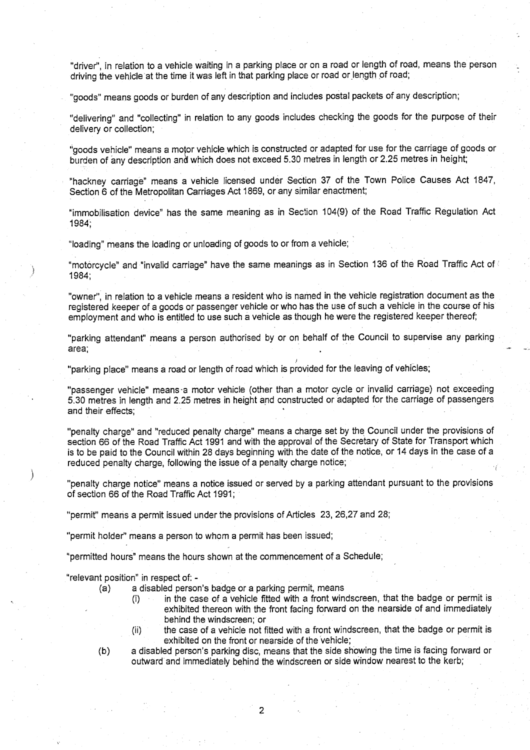**"driver**", **in relation to a vehicle waiting in a parking place or on a road or length of road** , **means the person** driving the vehicle at the time it was left in that parking place or road or length of road;

**"goods** " **means goods or burden of any description and includes postal packets of any description;**

**"delivering** " **and "collecting**" **in relation to any goods includes checking the goods for the purpose of their delive**ry **or collection;**

" **goods vehicle**" **means a motor vehicle which is constructed or adapted for use for the carriage of goods or burden of any description and which does not exceed 5 .30 metres in length or 2**. **25 metres in height;**

**"hackney carriage** " **means a vehicle licensed under Section 37 of the Town Police Causes** Act 1847, **Section 6 of the Metropolitan Carriages Act 1869, or any similar enactment;**

**"immobilisation device** " **has the same meaning as in Section 104(9) of the Road Traffic Regulation Act 1984;**

**"loading" means the loading or unloading of goods to or from a vehicle ;**

**"motorcycle" and "invalid carriage**" **have the same meanings as in Section 136 of the Road** Traffic Act of **1984;**

**"owner", in relation to a vehicle means a resident who is named in the vehicle registration document as the registered keeper of a goods or passenger vehicle or who has the use of such a vehicle in the course of his employment and who is entitled to use such a vehicle as though he were the registered keeper thereof;**

**"parking a**tt**endant**" **means a person authorised by or on behalf of the Council to supervise any parking area;**

**"parking place**" **means a road or length of road which is provided for the leaving of vehicles ;**

**"passenger vehicle** " **means** -**a motor vehicle (other than a motor cycle or invalid carriage** ) **not exceeding 5.30 metres in length and 2.25 metres in height and constructed or adapted for the carriage of passengers and their effects ;**

**"penalty charge" and "reduced penalty charge** " **means a charge set by the Council under the provisions of** section 66 of the Road Traffic Act 1991 and with the approval of the Secretary of State for Transport which **is to be paid to the Council within 28 days beginning with the date of the notice** , **or 14 days in the case of a reduced penalty charge** , **following the issue of a penalty charge notice ;**

**"penalty charge notice**" **means a notice issued or served by a parking attendant pursuant to the provisions of section 66 of the Road** Traffic Act 1991 ;

**"permit**" **means a permit issued under the provisions of Articles 23** , **26,27 and 28;**

"permit holder" means a person to whom a permit has been issued;

**"permitted hours** " **means the hours shown at the commencement of a Schedule ;**

**"relevant position**" **in respect of: -**

)

- **(a) a disabled person**'**s badge or a parking permit, mean <sup>s</sup>**
	- **(i) in the case of a vehicle fi**tt**ed with a front windscreen, that the badge or permit is exhibited thereon with the front facing forward on the nearside of and immediately behind the windscreen ; or**
	- **(ii) the case of a vehicle not fitted with a front windscreen** , **that the badge or permit is exhibited on the front or nearside of the vehicle;**
- **(b) a disabled person**' **s parking disc**, **means that the side showing the time is facing forward or outward and immediately behind the windscreen or side window nearest to the kerb ;**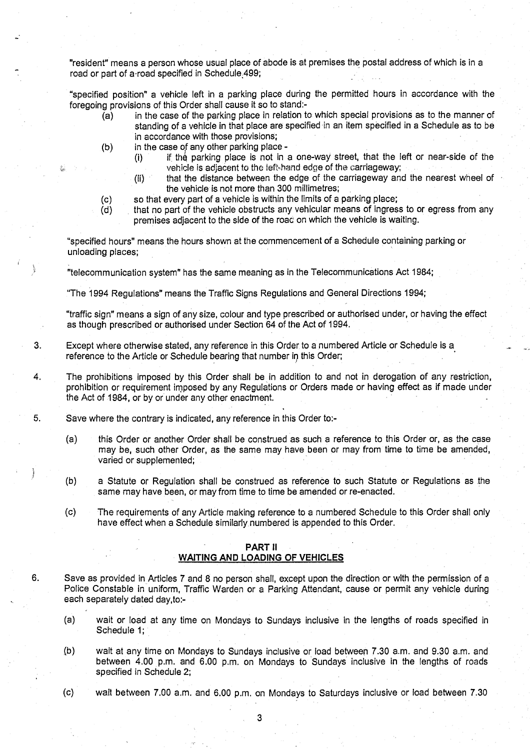"resident" means a person whose usual place of abode is at premises the postal address of which is in a road or part of a-road specified in Schedule<sub>1499</sub>;

**"specified position**" **a vehicle left in a parking place during the permitted hours in accordance with the** foregoing provisions of this Order shall cause it so to stand:-

- **(a) in the case of the parking place in relation to which special provisions as to the manner of standing of a vehicle in that place are specified-in an item specified in a Schedule as to be in accordance with those provisions;**
- (b) in the case of any other parking place
	- **(i) if\_ tho parking place is not in a one-way street, that the left or near**-**side of the** vehicle is adjacent to the left-hand edge of the carriageway;
	- **(ii) that the distance between the edge of the carriageway and the nearest wheel of the vehicle is not more than 300 millimetres ;**
	-
- (c) so that every part of a vehicle is within the limits of a parking place;<br>(d) that no part of the vehicle obstructs any vehicular means of ingres **(d) that no part of the vehicle obstructs any vehicular means of ingress to or egress from any** premises adjacent to the side of the roac on which the vehicle is waiting.

"specified hours" means the hours shown at the commencement of a Schedule containing parking or unloading places;

"telecommunication system" has the same meaning as in the Telecommunications Act 1984 ;

**"The 1994 Regulations**" **means the Traffic Signs Regulations and General Directions 1994;**

"**traffic sign**" **means a sign of any size, colour and type prescribed or authorised under, or having the effect** as though prescribed or authorised under Section 64 of the Act of 1994 .

- **<sup>3</sup> . Except where otherwise stated**, **any reference in this Order to a numbered Article or Schedule is a** reference to the Article or Schedule bearing that number in this Order;
- 4. The prohibitions imposed by this Order shall be in addition to and not in derogation of any restriction, prohibition or requirement imposed by any Regulations or Orders made or having effect as if made under the Act of 1984, or by or under any other enactment.
- 5. Save where the contrary is indicated, any reference in this Order to:-
	- (a) this Order or another Order shall be construed as such a reference to this Order or, as the case may be, such other Order, as the same may have been or may from time to time be amended, varied or supplemented;
	- **(b) a Statute or Regulation shall be construed as reference to such Statute or Regulations as the** same may have been, or may from time to time be amended or re-enacted.
	- (c) The requirements of any Article making reference to a numbered Schedule to this Order shall only have effect when a Schedule similarly. numbered is appended to this Order.

# **PART 11**

# **WAITING AND LOADING OF VEHICLES**

- **6. Save as provided in Articles 7 and 8 no person shall, except upon the direction or with the permission of a** Police Constable in uniform, Traffic Warden or a Parking Attendant, cause or permit any vehicle during **each separately dated day,to:-**
	- **(a) wait or load at any time on Mondays to Sundays inclusive in the lengths of roads specified in** Schedule 1;
	- (b) wait at any time on Mondays to Sundays inclusive or load between 7 .30 a.m . and 9.30 a.m . and between 4.00 p.m. and 6.00 p.m. on Mondays to Sundays inclusive in the lengths of roads specified in Schedule 2;
	- (c) wait between 7.00 a.m. and 6.00 p.m, on Mondays to Saturdays inclusive or load between 7 .30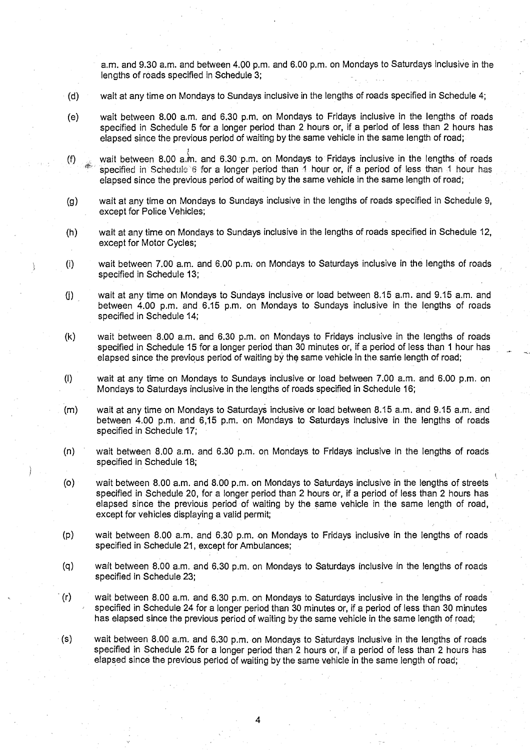**a.m. and 9**. **30 a.m** . **and between 4.00 p**. **m . and 6**. **00 p.m**. **on Mondays to Saturdays inclusive in the lengths of roads specified in Schedule 3 ;**

- **(d) wait at any time on Mondays to Sundays inclusive in the lengths of roads specified in Schedule 4 ;**
- **(e) wait between 8.00 a**.**<sup>m</sup> . and 6**. **30 p.m** . **on Mondays to Fridays inclusive in the lengths of roads specified in Schedule 5 for a longer period than 2 hours or** , **if a period of less than 2 hours has elapsed since the previous period of waiting by the same vehicle in the same length of road ;**
- **(f) wait between 8.00 a**, **in. and 6 .30 p.m. on Mondays to Fridays inclusive in the lengths of roads** specified in Schedule for a **longer period** than 1 **hour or**, **if a period of less than 1 hour has elapsed since the previous period of waiting by the same vehicle in the same length of road ;**
- **(g) wait at any time on Mondays to Sundays inclusive in the lengths of roads specified in Schedule 9, except for Police Vehicles;**
- **(h) wait at any time on Mondays to Sundays inclusive in the lengths of roads specified in Schedule 12, except for Motor Cycles;**
- **(i) wait between 7.00 a**.**m. and 6**.**00 p.m**. **on Mondays to Saturdays inclusive in the lengths of roads specified in Schedule 13 ;**
- **(j) wait at any time on Mondays to Sundays inclusive or load between 8 .15 a**.**m . and 9**.**15 a .m . and between 4**.**00 p.m** . **and 6** . **15 p.m**. **on Mondays to Sundays inclusive in the lengths of roads specified in Schedule 14 ;**
- **(k) wait between 8.00 a**. **m. and 6**.**30 p.m. on Mondays to Fridays inclusive in the lengths of roads specified in Schedule 15 for a longer period than 30 minutes or** , **if a period of less than 1 hour has elapsed since the previous period of waiting by the same vehicle in the same length of road ;**
- **(I) wait at any time on Mondays to Sundays inclusive or load between 7 .00 a**.**m . and 6**. **00 p.m. on Mondays to Saturdays inclusive in the lengths of roads specified in Schedule 16 ;**
- **(m) wait at any time on Mondays to Saturdays inclusive or load between 8 .15 a.m . and 9 .15 a .m . and between 4**. **00 p.m**. **and** 6,15 **p.m. on Mondays to Saturdays inclusive in the lengths of roads specified in Schedule 17;**
- **(n) wait between 8 .00 a** . **<sup>m</sup> . and 6**.**30 p.m**. **on Mondays to Fridays inclusive in the lengths of roads specified in Schedule 18 ;**
- **(o) wait between 8.00 a**. **m. and 8**.**00 p.m. on Mondays to Saturdays inclusive in the lengths of streets specified in Schedule 20, for a longer period than 2 hours or, if a period of less than 2 hours has elapsed since the previous period of waiting by the same vehicle in the same length of road, except for vehicles displaying a valid permit;**
- **(p) wait between 8 .00 a**.**m. and 6**. **30** <sup>p</sup> .m . on **Mondays to Fridays inclusive in the lengths of roads specified in Schedule 21** , **except for Ambulances ;**
- **(q) wait between 8.00 a.m . and 6**.**30 p.m** . **on Mondays to Saturdays inclusive in the lengths of roads specified in Schedule 23 ;**
- **(r) wait between 8.00 a**. **m. and 6**.**30 p.m**. **on Mondays to Saturdays inclusive in the lengths of roads specified in Schedule 24 for a longer period than 30 minutes or** , **if a period of less than 30 minutes** has elapsed since the previous period of waiting by the same vehicle in the same length of road;
- **(s) wait between 8.00 a** . **<sup>m</sup> . and 6**. **30 p .m** . **on Mondays to Saturdays inclusive in the lengths of roads specified in Schedule 25 for a longer period than 2 hours or, if a period of less than 2 hours has elapsed since the previous period of waiting by the same vehicle in** th**e same length of road ;**

4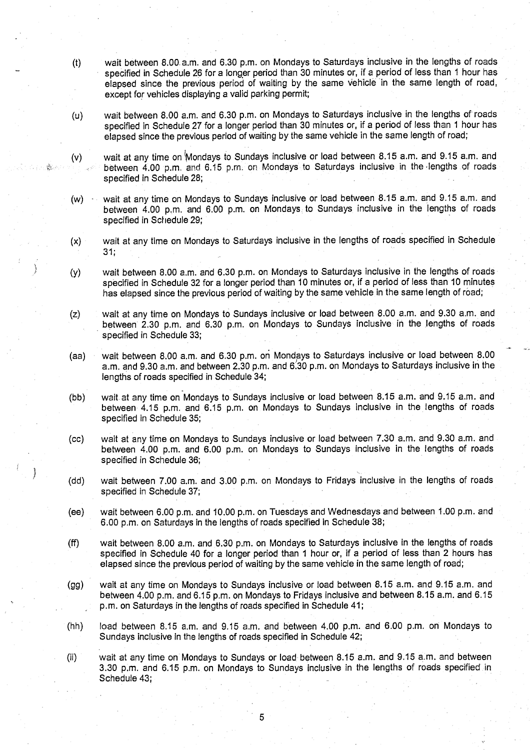- (t) wait between 8.00. a .m. and 6 .30 p.m. on Mondays to Saturdays inclusive in the lengths of roads specified in Schedule 26 for a longer period than 30 minutes or, if a period of less than 1 hour has **elapsed since the previous period of waiting by the same vehicle** in **the same length of road,** except for vehicles displaying a valid parking permit;
- (u) wait between 8.00 a.m. and 6.30 p.m. on Mondays to Saturdays inclusive in the lengths of roads specified in Schedule 27 for a longer period than 30 minutes or, if a period of less than 1 hour has elapsed since the previous period of waiting by the same vehicle in the same length of road;
- (v) wait at any time on Mondays to Sundays inclusive or load between 8.15 a.m. and 9.15 a.m. and } between 4.00 p.m, and 6.15 p.m. on Mondays to Saturdays inclusive in the -lengths of roads **specified in Schedule 28 ;**
- **(w) wait at any time on Mondays to Sundays inclusive or load between 8 .15 a** . **m. and 9.15 a.m . and between 4** . **00** <sup>p</sup> .m . **and 6**.**00 p .m**. **on Mondays to Sundays inclusive in the lengths of roads specified in Schedule 29;**
- (x) wait at any time on Mondays to Saturdays inclusive in the lengths of roads specified in Schedule  $31:$
- **(y) wait between 8 .00 a**.**m. and 6**.**30 p.m. on Mondays to Saturdays inclusive in the lengths of roads specified in Schedule 32 for a longer period than 10 minutes or, if a period of less than 10 minutes has elapsed since the previous period of waiting by the same vehicle in the same length of road ;**
- (z) wait at any time on Mondays to Sundays inclusive or load between 8 .00 a.m. and 9 .30 a .m . and between 2.30 p.m. and 6.30 p.m. on Mondays to Sundays inclusive in the lengths of roads specified in Schedule 33;
- **(aa) wait between 8.00 a**. **<sup>m</sup> . and 6**. **30 p.m . on Mondays to Saturdays inclusive or load between 8 .00** a.m. and 9.30 a.m. and between 2.30 p.m. and 6.30 p.m. on Mondays to Saturdays inclusive in the **lengths of roads specified in Schedule 34 ;**
- **(bb) wait at any time on Mondays to Sundays inclusive or load between 8 .15 a.m**. **and 9.15 a.m. and between 4**. **15 p.m. and 6** . **15 p.m. on Mondays to Sundays inclusive in the lengths of roads** specified in Schedule 35;
- (cc) wait at any time on Mondays to Sundays inclusive or load between 7.30 a.m. and 9.30 a.m. and **between 4**.**00 p.m**. **and 6**. **00 p.m**. **on Mondays to Sundays inclusive in the lengths of roads specified in Schedule 36;**
- (dd) wait between 7.00 a.m. and 3.00 p.m . on Mondays to Fridays inclusive in the lengths of roads specified in Schedule 37;
- (ee) wait between 6.00 p.m. and 10.00 p.m. on Tuesdays and Wednesdays and between 1.00 p.m. and **6.00 p**. **m. on Saturdays in the lengths of roads specified in Schedule 38 ;**
- **(ff) wait between 8.00 a.m . and 6**. **30 p.m** . **on Mondays to Saturdays inclusive in the lengths of roads specified in Schedule 40 for a longer period than 1 hour or, if a period of less than 2 hours has elapsed since the previous period of waiting by the same vehicle in the same length of road ;**
- **(gg) wait at any time on Mondays to Sundays inclusive or load between 8 .15 a.m**. **and 9**. **15 a.m . and between 4**.**00 p.m**. **and 6** . **15 p.m . on Mondays to Fridays inclusive and between 8 .15 a**.**m. and 6.15 p.m . on Saturdays in the lengths of roads specified in Schedule 41 ;**
- (hh) load between 8 .15 a.m . and 9.15 a.m . and between 4 .00 p.m . and 6 .00 p .m . on Mondays to Sundays inclusive in the lengths of roads specified in Schedule 42;
- {ii) wait at any time on Mondays to Sundays or load- between 8 .15 a .m . and 9.15 a.m . and between 3.30 p.m. and 6.15 p.m. on Mondays to Sundays inclusive in the lengths of roads specified in Schedule 43;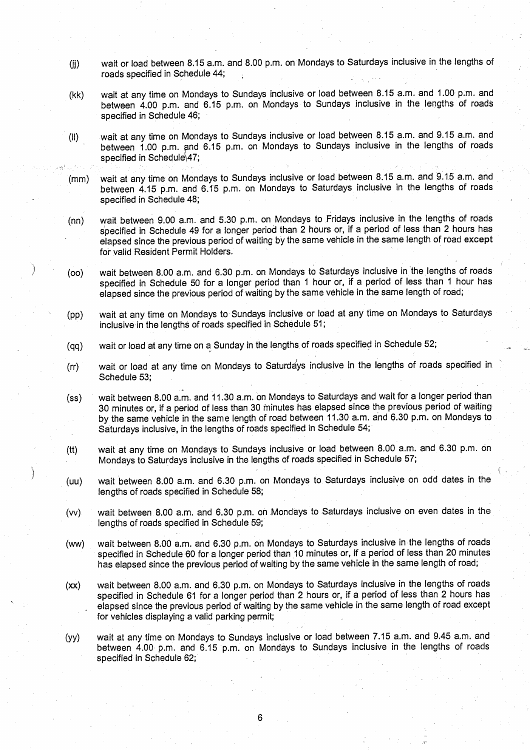- (jj) wait or load between 8.15 a.m. and 8.00 p.m. on Mondays to Saturdays inclusive in the lengths of roads specified in Schedule 44;
- (kk) wait at any time on Mondays to Sundays inclusive or load between 8.15 a.m. and 1.00 p.m. and between 4.00 p.m. and 6.15 p.m. on Mondays to Sundays inclusive in the lengths of roads specified in Schedule 46;
- (II) wait at any time on Mondays to Sundays inclusive or load between 8 .15 a.m. and 9.15 a.m. and between 1.00 p.m. and 6.15 p.m. on Mondays to Sundays inclusive in the lengths of roads specified in Schedule 47;
- (mm) wait at any time on Mondays to Sundays inclusive or load between 8 .15 a.m . and **9.15** a.m . and between 4.15 p.m. and 6.15 p.m. on Mondays to Saturdays inclusive in the lengths of roads specified in Schedule 48;

(nn) wait between 9.00 a.m. and 5.30 p.m. on Mondays to Fridays inclusive in the lengths of roads specified in Schedule 49 for a longer period than 2 hours or, if a period of less than 2 hours has elapsed since the previous period of waiting by the same vehicle in the same length of road except for valid Resident Permit Holders.

- (oo) wait between 8.00 a.m. and 6.30 p.m. on Mondays to Saturdays inclusive in the lengths of roads specified in Schedule 50 for a longer period than 1 hour or, if a period of less than 1 hour has elapsed since the previous period of waiting by the same vehicle in the same length of road;
- (pp) wait at any time on Mondays to Sundays inclusive or load at any time on Mondays to Saturdays inclusive in the lengths of roads specified in Schedule 51;
- (qq) wait or load at any time on a Sunday in the lengths of roads specified in Schedule 52;
- (rr) wait or load at any time on Mondays to Saturdays inclusive in the lengths of roads specified in Schedule 53;
- (ss) wait between 8.00 a.m. and 11.30 a.m. on Mondays to Saturdays and wait for a longer period than 30 minutes or, if a period of less than 30 minutes has elapsed since the previous period of waiting by the same vehicle in the same length of road between 11 .30 a.m . and 6.30 p.m. on Mondays to Saturdays inclusive, in the lengths of roads specified in Schedule 54;
- (tt) wait at any time on Mondays to Sundays inclusive or load between 8 .00 a.m. and 6 .30 p.m . on Mondays to Saturdays inclusive in the lengths of roads specified in Schedule 57;
- (uu) wait between 8.00 a.m. and 6.30 p.m. on Mondays to Saturdays inclusive on odd dates in the lengths of roads specified in Schedule 58;
- (w) wait between 8.00 a.m. and 6.30 p.m. on Mondays to Saturdays inclusive on even dates in the lengths of roads specified in Schedule 59;
- (ww) wait between 8 .00 a.m. and 6 .30 p.m. on Mondays to Saturdays inclusive in the lengths of roads specified in Schedule 60 for a longer period than 10 minutes or, if a period of less than 20 minutes has elapsed since the previous period of waiting by the same vehicle in the same length of road;
- (xx) wait between 8.00 a.m. and 6.30 p.m. on Mondays to Saturdays inclusive in the lengths of roads specified in Schedule 61 for a longer period than 2 hours or, if a period of less than 2 hours has elapsed since the previous period of waiting by the same vehicle in the same length of road except for vehicles displaying a valid parking permit;
- (yy) wait at any time on Mondays to Sundays inclusive or load between 7 .15 a.m. and 9.45 a.m. and between 4.00 p.m. and 6.15 p.m. on Mondays to Sundays inclusive in the lengths of roads specified in Schedule 62;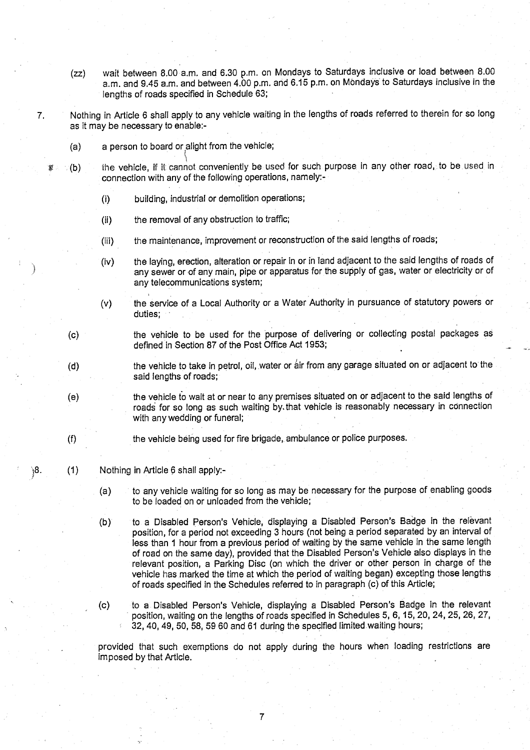- **(zz) wait between 8 .00 a**. **<sup>m</sup> . and 6**.**30 p.m. on Mondays to Saturdays inclusive or load between 8 .00 a.m. and 9.45 a.m**. **and between 4.00 p**.**<sup>m</sup> . and 6**. **15 p.m. on Mondays to Saturdays inclusive in the lengths of roads specified in Schedule 63;**
- **7. Nothing in Article 6 shall apply to any vehicle waiting in the lengths of roads referred to therein for so long as it may be necessa**ry **to enable :-**
	- **(a) a person to board** or alight **from the vehicle ;**
	- **(b) the vehicle** , if it cannot conveniently be used for **such purpose in any other road**, to be used in **connection with any of the following operations**, namely:
		- **(i) building** , **industrial or demolition operations ;**
		- **(ii) the removal of any obstruction to traffic;**
		- ( **iii) the maintenance**, **improvement or reconstruction of the said lengths of roads ;**
		- **(iv) the laying, erection**, **alteration or repair in or in land adjacent to the said lengths of roads of any sewer or of any main**, **pipe or apparatus for the supply of gas, water or electricity or of any telecommunications system ;**
		- **(v) the se**rv**ice of a Local Authority or a Water Authority in pursuance of statutory powers or duties ;**
	- **(c) the vehicle to be used for the purpose of delivering or collecting postal packages as defined in Section 87 of the Post Office Act 1953 ;**
	- **(d) the vehicle to take in petrol** , **oil, water or air from any garage situated on or adjacent to the said lengths of roads;**
	- **(e) the vehicle to wait at or near to any premises situated on or adjacent to the said lengths of** roads for so long as such waiting by that vehicle is reasonably necessary in connection with any wedding or funeral;
	- (**f) the vehicle being used for fire brigade,** . **ambulance or police purposes .**
- **8. (1) Nothing in Article 6 shall apply:-**
	- **(a) to any vehicle waiting for so long as** may be **necessa**ry **for the purpose of enabling goods to be loaded on or unloaded from the vehicle ;**
	- **(b) to a Disabled Person**'**s Vehicle, displaying a Disabled Person's Badge in the relevant** position, for a period not exceeding 3 hours (not being a period separated by an interval of **less than 1 hour from a previous period of waiting by the same vehicle in the same length** of road on the same day), provided that the Disabled Person's Vehicle also displays in the **relevant position**, **a Parking Disc (on which the driver or other person in charge of the vehicle has marked the time at which the period of waiting began** ) **excepting those lengths of roads specified in the Schedules referred to in paragraph** (**c) of this Article;**
	- **(c) to a Disabled Person's Vehicle** , **displaying a Disabled Person's** badge **in the relevant position, waiting on the lengths of roads specified in Schedules 5, 6, 15, 20, 24, 25** , **26, 27, 32, 40**, **49, 50**, **58, 59 60 and 61 during the specified limited waiting hours ;**

**provided that such exemptions do not apply during the hours when loading restrictions are imposed by that Article.**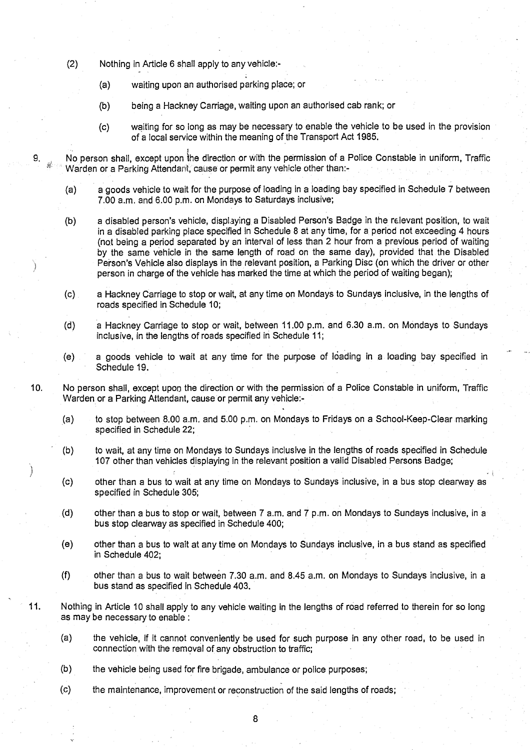- (2) Nothing in Article 6 shall apply to any vehicle:-
	- **(a) waiting upon an authorised parking place ; or**
	- **(b) being a Hackney Carriage**, **waiting upon an authorised cab rank ; or**
	- **(c) waiting for so long as may be necessa**ry **to enable the vehicle to be used in the provision** of a local service within the meaning of the Transport Act 1985 .

9. No person shall, except upon the direction or with the permission of a Police Constable in uniform, Traffic Warden or a Parking Attendant, cause or permit any vehicle other than .-

- **(a) a goods vehicle to wait for the purpose of loading in a loading bay specified in Schedule 7 between** 7.00 a.m . and 6.00 p.m . on Mondays to Saturdays inclusive;
- **(b) a disabled person**' **s vehicle** , **displaying a Disabled Person**'**s Badge in the relevant position** , **to wait in a disabled parking place specified in Schedule 8 at any time** , **for a period not exceeding 4 hours** (not being a period separated by an interval of less than 2 hour from a previous period of waiting by the same vehicle in the **same length** of road on the same day), provided that the Disabled Person's Vehicle also displays in the relevant position, a Parking Disc (on which the driver or other person in charge of the vehicle has marked the time at which the period of waiting began);
- (c) a Hackney Carriage to stop or wait, at any time on Mondays to Sundays inclusive, in the lengths of **roads specified in Schedule 10 ;**
- (d) a Hackney Carriage to stop or wait, between 11 .00 p.m. and 6.30 a.m . on Mondays to Sundays **inclusive, in the lengths of roads specified in Schedule 11 ;**
- **(e) a goods vehicle to wait at any time for the purpose of loading in a loading bay specified in Schedule 19.**
- 10. No person shall, except upon the direction or with the permission of a Police Constable in uniform, Traffic Warden or a Parking Attendant, cause or permit any vehicle:-
	- (a) to stop between 8.00 a .m . and 5.00 p.m. on Mondays to Fridays on a School-Keep-Clear marking specified in Schedule 22;
	- (b) to wait, at any time on Mondays to Sundays inclusive in the lengths of roads specified in Schedule **107 other than vehicles displaying in the relevant position a valid Disabled Persons Badge ;**
	- **(c) other than a bus to wait at any time on Mondays to Sundays inclusive, in a bus stop clearway as** specified in Schedule 305;
	- (d) other than a bus to stop or wait, between 7 a .m. and 7 p.m . on Mondays to Sundays inclusive, in a bus stop clearway as specified in Schedule 400;
	- **(e) other than a bus to wait at any time on Mondays to Sundays inclusive, in a bus stand as specified** in Schedule 402;
	- (f) other than a bus to wait between 7.30 a.m. and 8 .45 a.m. on Mondays to Sundays inclusive, in a **bus stand as specified in Schedule 403 .**
- 11 . Nothing in Article 10 shall apply to any vehicle waiting in the lengths of road referred to therein for so long **as may be necessa** ry **to enable :**
	- (a) the vehicle, if it cannot conveniently be used for such purpose in any other road, to be used in connection with the removal of any obstruction to traffic;
	- **(b) the vehicle being used for fire brigade** , **ambulance or police purposes ;**
	- (c) the maintenance, improvement or reconstruction of the said lengths of roads ;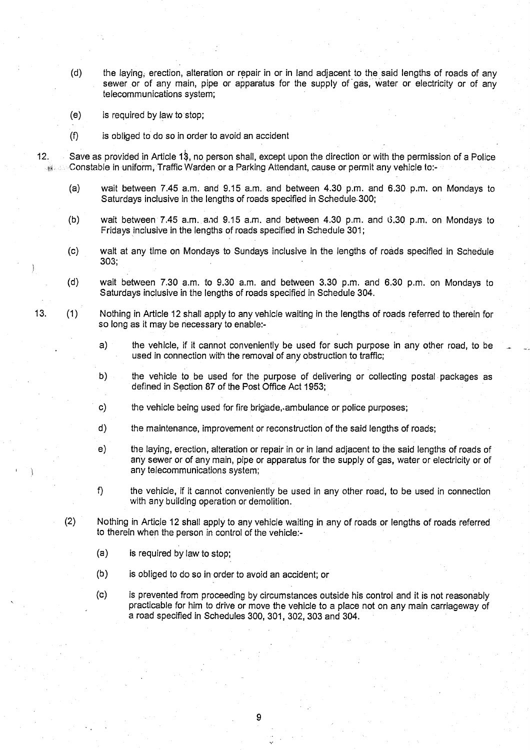- **(d) the laying**, **erection, alteration or repair in or in land adjacent to the said lengths of roads of any sewer or of any main**, **pipe or apparatus for the supply of gas**, **water or electricity or of any telecommunications system ;**
- **(e) is required by law to stop;**
- **(f) is obliged to do so in order to avoid an accident**
- 12. Save as provided in Article 1\$, no person shall, except upon the direction or with the permission of a Police **Constable in** uniform, **Traffic Warden or a Parking Attendant** , **cause or permit any vehicle to :-** 34.
	- **(a) wait between 7.45 a**. **<sup>m</sup> . and 9** . **15 a.m . and between 4.30 p**. **m. and 6**.**30 p.m**. **on Mondays to Saturdays inclusive in the lengths of roads specified in Schedule-300 ;**
	- **(b) wait** between **<sup>7</sup> .45 a.m . and 9.15 a.m. and between 4 .30 p.m . and 31.30 p.m. on Mondays to Fridays inclusive in the lengths of roads specified in Schedule 301 ;**
	- **(c) wait at any time on Mondays to Sundays inclusive in the lengths of roads specified in Schedule 303;**
	- **(d) wait between 7.30 a**. **m. to 9.30 a**. **m. and between 3.30 p**.**m. and 6**. **30 p.m** . **on Mondays to Saturdays inclusive in the lengths of roads specified in Schedule 304 .**
- **13. (1) Nothing in Article 12 shall apply to any vehicle waiting in the lengths of roads referred to therein for** so long as it may be necessary to enable:
	- **a) the vehicle**, **if it cannot conveniently be used for such purpose in any other road, to be** used in connection with the removal of any obstruction to traffic;
	- **b) the vehicle to be used for the purpose of delivering or collecting postal packages as defined in Section 87 of the Post Office Act 1953 ;**
	- c) the vehicle being used for fire brigade, ambulance or police purposes;
	- **d) the maintenance**, **improvement or reconstruction of the said lengths of roads;**
	- **e) the laying**, **erection**, **alteration or repair in or in land adjacent to the said lengths of roads of any sewer or of any main** , **pipe or apparatus for the supply of gas, water or electricity or of any telecommunications system ;**
	- **f) the vehicle**, **if it cannot conveniently be used in any other road** , **to be used in connection with any building operation or demolition.**
	- (**2) Nothing in Article 12 shall apply to any vehicle waiting in any of roads or lengths of roads referred to therein when the person in control of the vehicle :-**
		- **(a) is required by law to stop;**
		- (b) is obliged to do so in order to avoid an accident; or
		- **(c) is prevented from proceeding by circumstances outside his control and it is not reasonably practicable for him to drive or move the vehicle to a place not on any main carriageway of a road specified in Schedules 300, 301, 302** , **303 and 304 .**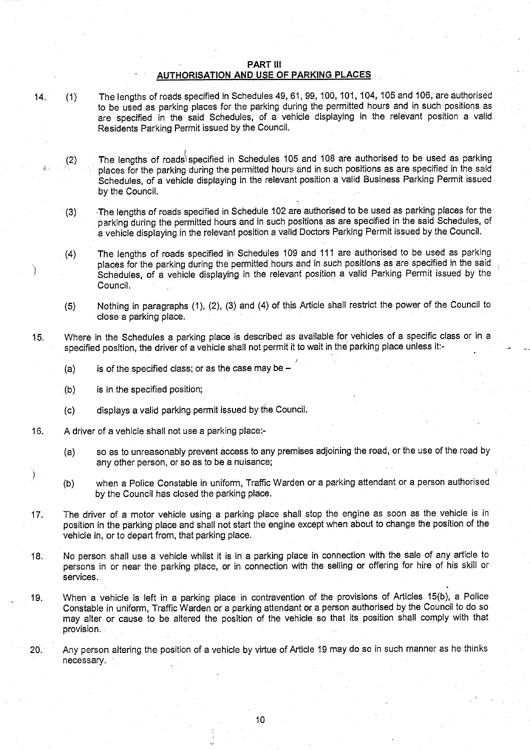#### PART III AUTHORISATION AND USE OF PARKING PLACES

- 14. (1) The lengths of roads specified in Schedules 49, 61, 99, 100, 101, 104, 105 and 106, are authorised to be used as parking places for the parking during the permitted hours and in such positions as are specified in the said Schedules, of a vehicle displaying in the relevant position a valid Residents Parking Permit issued by the Council.
	- (2) The lengths of roads specified in Schedules 105 and 108 are authorised to be used as parking places for the parking during the permitted hours and in such positions as are specified in the said Schedules, of a vehicle displaying in the relevant position a valid Business Parking Permit issued by the Council.
	- (3) The lengths of roads specified in Schedule 102 are authorised to be used as parking places for the parking during the permitted hours and in such positions as are specified in the said Schedules, of a vehicle displaying in the relevant position a valid Doctors Parking Permit issued by the Council .
	- (4) The lengths of roads specified in Schedules 109 and 111 are authorised to be used as parking places for the parking during the permitted hours and in such positions as are specified in the said Schedules, of a vehicle displaying in the relevant position a valid Parking Permit issued by the Council.
	- (5) Nothing in paragraphs (1), (2), (3) and (4) of this Article shall restrict the power of the Council to close a parking place.
- 15. Where in the Schedules a parking place is described as available for vehicles of a specific class or in a specified position, the driver of a vehicle shall not permit it to wait in the parking place unless it:-
	- $(a)$  is of the specified class; or as the case may be -
	- (b) is in the specified position;
	- (c) displays a valid parking permit issued by the Council .
- 16. A driver of a vehicle shall not use a parking place:-
	- (a) so as to unreasonably prevent access to any premises adjoining the road, or the use of the road by any other person, or so as to be a nuisance;
	- (b) when a Police Constable in uniform, Traffic Warden or a parking attendant or a person authorised by the Council has closed the parking place.
- 17. The driver of a motor vehicle using a parking place shall stop the engine as soon as the vehicle is in position in the parking place and shall not start the engine except when about to change the position of the vehicle in, or to depart from, that parking place.
- 18. No person shall use a vehicle whilst it is in a parking place in connection with the sale of any article to persons in or near the parking place, or in connection with the selling or offering for hire of his skill or services .
- 19. When a vehicle is left in a parking place in contravention of the provisions of Articles 15(b), a Police Constable in uniform, Traffic Warden or a parking attendant or a person authorised by the Council to do so may alter or cause to be altered the position of the vehicle so that its position shall comply with that provision.
- 20. Any person altering the position of a vehicle by virtue of Article 19 may do so in such manner as he thinks necessary.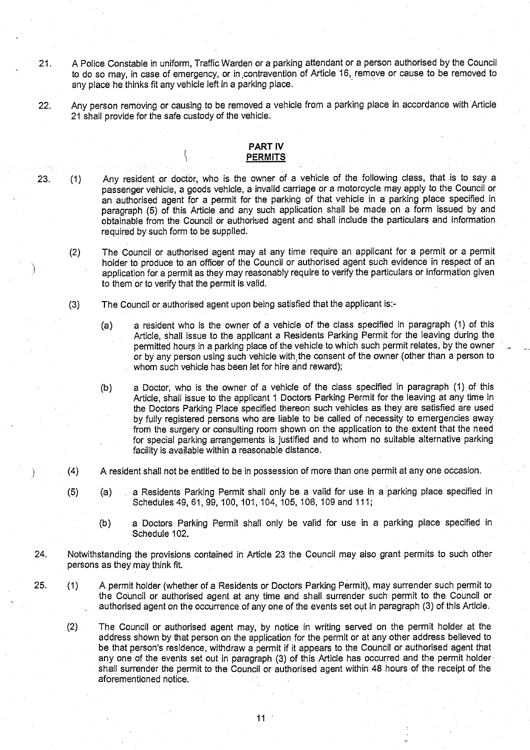- 21. A Police Constable in uniform, Traffic Warden or a parking attendant or a person authorised by the Council to do so may, in case of emergency, or in contravention of Article 16, remove or cause to be removed to any place he thinks fit any vehicle left in a parking place.
- 22. Any person removing or causing to be removed a vehicle from a parking place in accordance with Article 21 shall provide for the safe custody of the vehicle.

# PART IV **PERMITS**

- 
- 23 . (1) Any resident or doctor, who is the owner of a vehicle of the following **class** , that ,is to say a **passenger vehicle, a goods vehicle** , **a invalid carriage or a motorcycle may apply to the Council or** an authorised agent for a permit for the parking of that vehicle in a parking place specified in paragraph (5) of this Article and any such application shall be made on a form issued by and obtainable from the Council or authorised agent and shall include the particulars and information required by such form to be supplied.
	- (2) The Council or authorised **agent** .may at any time require an applicant for a permit or a permit holder to produce to an officer of the Council or authorised agent such evidence in respect of an application for. a permit as they may reasonably require to verify the particulars or information given to them or to verify that the permit is valid.
	- (3) The Council **or authorised agent upon being satisfied that the applicant is :-**
		- **(a) a resident who is the owner of a vehicle of the class specified in paragraph** (**1) of this** Article, **shall issue to the applicant a Residents Parking Permit for the leaving during the** permitted hours in a parking place of the vehicle to which such permit relates, by the owner **or by any person using such vehicle with,the consent of the owner** (**other than a person to** whom such vehicle has been let for hire and reward);
		- **(b) a Doctor**, **who is the owner of a vehicle of the class specified in paragraph** (**1) of this** Article, **shall issue to the applicant I Doctors Parking Permit for the leaving at any time in the Doctors Parking Place specified thereon such vehicles as they are satisfied are used by fully registered persons who are liable to be called of necessity to emergencies away** from the surgery or consulting room shown on the application to the extent that the need **for special parking arrangements is justified and to whom no suitable alternative parking facility is available within a reasonable distance.**
	- (4) A resident **shall not be entitled to be in possession of more than one permit at any one occasion .**
	- (5) (a) , a Residents Parking Permit shall only be a valid for use in a parking place specified in Schedules 49, 61, 99, 100, 101, 104, 105, 106, 109 and 111 ;
		- **(b) a Doctors Parking Permit shall only be valid for use in a parking place specified in Schedule 102 .**
- **24. Notwithstanding the provisions contained in Article 23 the Council may also grant permits to such other persons as** they may think fit.
- 25. (1) A permit holder (whether of a Residents or Doctors Parking Permit), may surrender such permit to **the Council or authorised agent at any time and shall surrender such permit to the Council or authorised agent on the occurrence of any one of the events set out in paragraph** (**3) of this A**rt**icle .**
	- (2) The Council or authorised agent may, by notice in writing served on the permit holder at the address shown by that person on the application for the permit or at any other address believed to be that person's residence, withdraw a permit if it appears to the Council or authorised agent that **any one of the events set out in paragraph (3) of this Article has occurred and the permit holdershall surrender the permit to the Council or authorised agent within 48 hours of the receipt of the** aforementioned notice .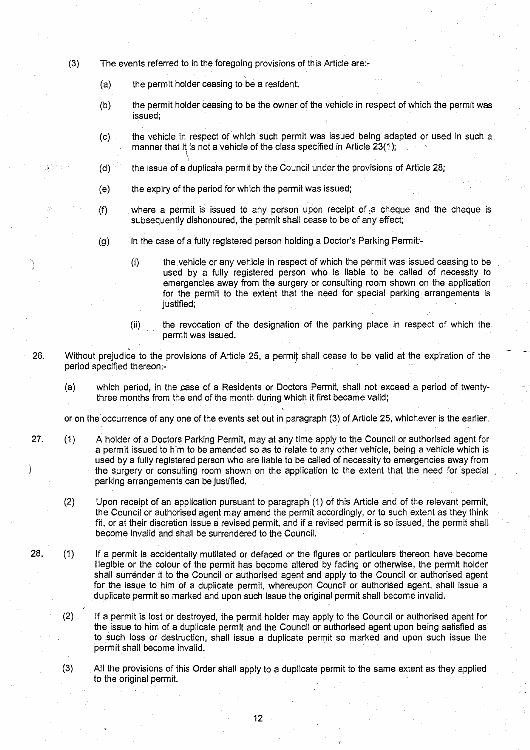- (3) The events referred to in the foregoing provisions of this Article are:-
	- (a) the permit holder **ceasing to be a resident;**
	- (b) the permit holder ceasing to be the owner of the vehicle in respect of which the permit was **issued;**
	- (c) the vehicle in respect of which such permit was issued being adapted or used in such a manner that it is not a vehicle of the class specified in Article 23(1);
	- $(d)$  the issue of a duplicate permit by the Council under the provisions of Article 28;
	- (e) the expiry **of the period** for which the **permit was issued;**
	- **(f) where a permit is issued to any person upon receipt of ~a cheque and the cheque is subsequently dishonoured** , **the permit shall cease to be of any effect ;**
	- (g) in the case of a fully registered person holding a Doctor's Parking Permit:-
		- **(i) the,vehicle or any vehicle in respect of which the permit was issued ceasing to be used by a fully registered person who is liable to be called of necessity to** emergencies away from the surgery or consulting room shown on the application for the permit to the extent that the need for special parking arrangements is **justified;**
		- **(ii) the revocation of the designation of the parking place in respect** of which the **permit was issued .**
- 26. Without prejudice to the provisions of Article 25, a permit **shall cease** to be valid at the expiration of the period specified thereon:-
	- **(a) which period**, **in the case of a Residents or Doctors Permit** , **shall not exceed a period of twenty**three months from the end of the month during which it first became valid;

or on the occurrence of any one of the events set out in paragraph (3) of Article 25, whichever is the earlier .

27. (1) A holder of a Doctors Parking Permit, may at any time apply to the Council or authorised agent for **a permit issued to him to be amended so as to relate to any other vehicle, being a vehicle which is** used by a fully registered person who are liable to be called of necessity to emergencies away from **the surgery or consulting room shown on the application to the extent that the need for special parking arrangements can be justified .**

Ì

- (2) Upon receipt of an application pursuant to paragraph (1) of this Article and of the relevant permit, the Council or authorised agent may amend the permit accordingly, or to such extent as they think **fit, or at their discretion issue a revised permit, and if a revised permit is so issued** , **the permit shall become invalid and shall be surrendered to the Council .**
- 28. (1) If a permit is accidentally mutilated or defaced or the figures or particulars thereon have become **illegible or the colour of the permit has become altered by fading or otherwise, the permit holder shall surrender it to the Council or authorised agent and apply to the Council or authorised agent for the issue to him of a duplicate permit, whereupon Council or authorised agent, shall issue a duplicate permit so marked and upon such issue the original permit shall become invalid .**
	- (2) If a permit is lost or destroyed, the permit holder may apply to the Council or authorised agent for **the issue to him of a duplicate permit and the Council or authorised agent upon being satisfied as to such loss or destruction** , **shall issue a duplicate permit so marked and upon such issue the** permit shall become invalid.
	- (3) All the provisions of this Order shall apply to a duplicate permit to the same extent as they applied to the original permit.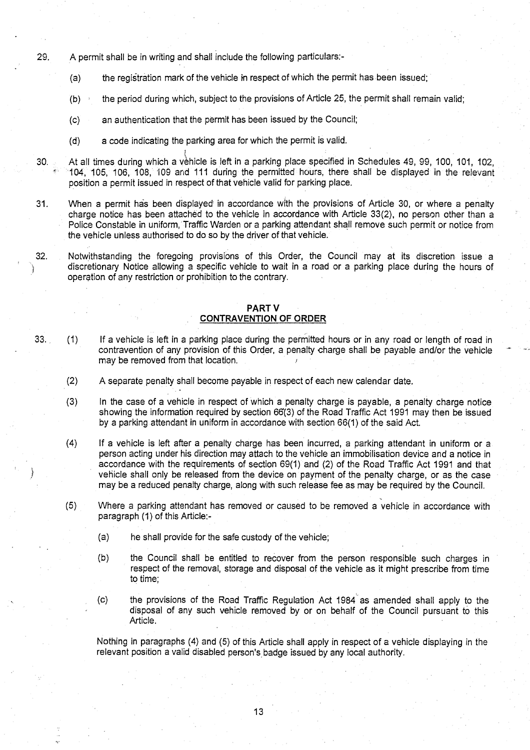- 29. A permit shall be in writing and shall include the following particulars:-
	- (a) the registration mark of the vehicle in respect of which the permit has been issued;
	- $(b)$  the period during which, subject to the provisions of Article 25, the permit shall remain valid;
	- (c) an authentication that the permit has been issued by the Council;
	- (d) a code indicating the parking area for which the permit is valid.
- 30. At all times during which a vehicle is left in a parking place specified in Schedules 49, 99, 100, 101, 102, '104, 105, 106, 108, 109 and 111 during the permitted hours, there shall be displayed in the relevant position a permit issued in respect of that vehicle valid for parking place.
- 31. When a permit has been displayed in accordance with the provisions of Article 30, or where a penalty charge notice has been attached to the vehicle in accordance with Article 33(2), no person other than a Police Constable in uniform,'Traffic Warden or a parking attendant shall remove such permit or notice from the vehicle unless authorised to do so by the driver of that vehicle .
- 32. Notwithstanding the foregoing provisions of this Order, the Council may at its discretion issue a discretionary Notice allowing a specific vehicle to wait in a road or a parking place during the hours of operation of any restriction or prohibition to the contrary .

### PART V CONTRAVENTION **OF ORDER**

- 33. (1) If a vehicle is left in a parking place during the permitted hours or in any road or length of road in contravention of any provision of this Order, a penalty charge shall be payable and/or the vehicle may be removed from that location.
	- (2) A separate penalty shall become payable in respect of each new calendar date.
	- (3) In the case of a vehicle in respect of which a penalty charge is payable, a penalty charge notice showing the information required by section 66(3) of the Road Traffic Act 1991 may then be issued by a parking attendant in uniform in accordance with section 66(1) of the said Act .
	- (4) If a vehicle is left after a penalty charge has been incurred, a parking attendant in uniform or a person acting under his direction may attach to the vehicle an immobilisation device and a notice in accordance with the requirements of section 69(1) and (2) of the Road Traffic Act 1991 and that vehicle shall only be released from the device on payment of the penalty charge, or as the case may be a reduced penalty charge, along with such **release fee** as may be required by the Council .
	- (5) Where a parking attendant has removed or caused to be removed a vehicle in accordance with paragraph (1) of this Article:-
		- (a) he shall provide for the safe custody of the vehicle;
		- (b) the Council shall be entitled to recover from the person responsible such charges in respect of the removal, **storage and** disposal of the vehicle as it might prescribe from time to time;
		- (c) the provisions of the Road Traffic Regulation Act 1984 as amended shall apply to the disposal of any such vehicle removed by or on behalf of the Council pursuant to this Article.

Nothing in paragraphs (4) and (5) of this Article shall apply in respect of a vehicle displaying in the relevant position a valid disabled person's badge issued by any local authority.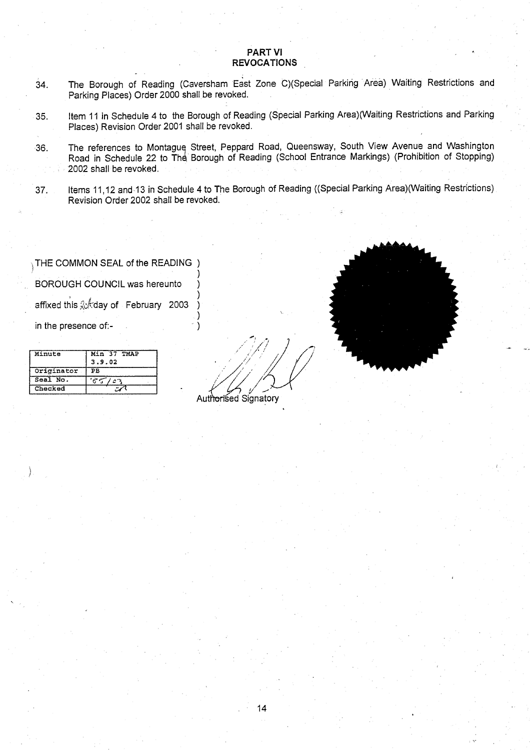# PART VI **REVOCATIONS**

- 34. The Borough of Reading (Caversham East Zone C)(Special Parking Area) Waiting Restrictions and Parking Places) Order 2000 shall be revoked.
- 35. Item 11 in Schedule 4 to the Borough of Reading (Special Parking Area)(Waiting Restrictions and Parking Places) Revision Order 2001 shall be revoked.
- 36. The references to Montague Street, Peppard Road, Queensway, South View Avenue and Washington Road in Schedule 22 to The Borough of Reading (School Entrance Markings) (Prohibition of Stopping 2002 shall be revoked.
- 37. Items 11,12 and-13 in Schedule 4 to The Borough of Reading ((Special Parking Area)(Waiting Restrictions) Revision Order 2002 shall be revoked.

THE COMMON SEAL of the READING ) BOROUGH COUNCIL was hereunto affixed this  $\&$  day of February 2003 in the presence of:-

| Minute     | Min 37 TMAP<br>3.9.02 |
|------------|-----------------------|
| Originator | PВ                    |
| Seal No.   |                       |
| Checked    |                       |

Authorised Signatory

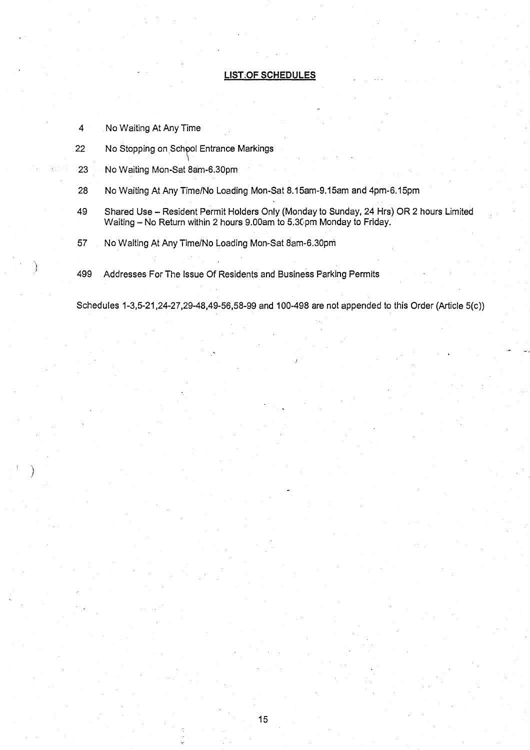### **LIST.OF SCHEDULES**

- 4 No Waiting At Any Time
- 22 No Stopping on **.Sch of Entrance Markings**

y

- 23 No Waiting **Mon-Sat 8am-6.30pm**
- **28 No Waiting** At Any Time/**No Loading Mon-Sat 8 .15am-9.15am and 4pm-6 .15pm**
- **49 Shared Use** Resident **Permit Holders** Only (Monday **to Sunday, 24 Hrs) OR 2 hours Limited** Waiting - No Return within 2 hours 9.00am to 5.30pm Monday to Friday.
- 57 No Waiting At Any Time**/No Loading Mon-Sat 8am** -**6.30pm**
- **499 Addresses For The Issue Of Residents and Business Parking Permit s**

**Schedules** 1-3,5-21,24-27,29-**48,49-56**, **58-99 and 100**-**498 are not appended to this Order** (Article 5(c))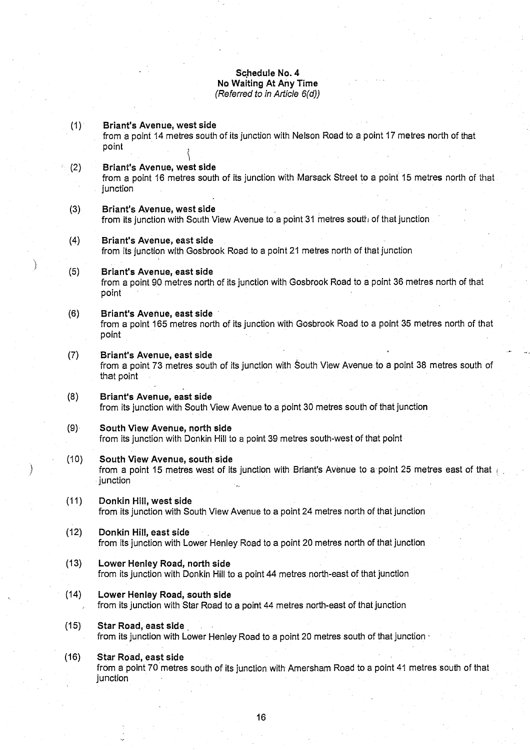## **Schedule No. 4 No Waiting At** Any Time *(Referred* to *in Article 6(d))*

ì

| (1)  | Briant's Avenue, west side<br>from a point 14 metres south of its junction with Nelson Road to a point 17 metres north of that<br>point         |
|------|-------------------------------------------------------------------------------------------------------------------------------------------------|
| (2)  | Briant's Avenue, west side<br>from a point 16 metres south of its junction with Marsack Street to a point 15 metres north of that<br>junction   |
| (3)  | Briant's Avenue, west side<br>from its junction with South View Avenue to a point 31 metres south of that junction                              |
| (4)  | Briant's Avenue, east side<br>from its junction with Gosbrook Road to a point 21 metres north of that junction                                  |
| (5)  | Briant's Avenue, east side<br>from a point 90 metres north of its junction with Gosbrook Road to a point 36 metres north of that<br>point       |
| (6)  | Briant's Avenue, east side<br>from a point 165 metres north of its junction with Gosbrook Road to a point 35 metres north of that<br>point      |
| (7)  | Briant's Avenue, east side<br>from a point 73 metres south of its junction with South View Avenue to a point 38 metres south of<br>that point   |
| (8)  | Briant's Avenue, east side<br>from its junction with South View Avenue to a point 30 metres south of that junction                              |
| (9)  | South View Avenue, north side<br>from its junction with Donkin Hill to a point 39 metres south-west of that point                               |
| (10) | South View Avenue, south side<br>from a point 15 metres west of its junction with Briant's Avenue to a point 25 metres east of that<br>junction |
| (11) | Donkin Hill, west side<br>from its junction with South View Avenue to a point 24 metres north of that junction                                  |
| (12) | Donkin Hill, east side<br>from its junction with Lower Henley Road to a point 20 metres north of that junction                                  |
| (13) | Lower Henley Road, north side<br>from its junction with Donkin Hill to a point 44 metres north-east of that junction                            |
| (14) | Lower Henley Road, south side<br>from its junction with Star Road to a point 44 metres north-east of that junction                              |
| (15) | Star Road, east side<br>from its junction with Lower Henley Road to a point 20 metres south of that junction                                    |
| (16) | Star Road, east side<br>from a point 70 metres south of its junction with Amersham Road to a point 41 metres south of that<br>junction          |

ķ.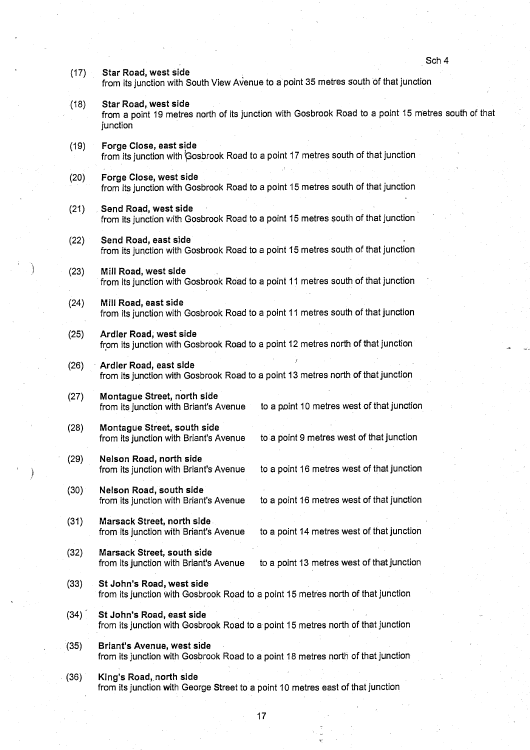Sch 4 (17) Star **Road**, **west side** from its junction with South View Avenue to a point 35 metres south of that junction **(18) Star Road, west side** from a point 19 metres north of its junction with Gosbrook Road to a point 15 metres south of that junction **(19) Forge Close**, **east side** from its junction with Gosbrook Road to a point 17 metres south of that junction (20) Forge Close, **west side** from its junction with Gosbrook Road to a point 15 metres south of that junction (21) Send Road, **west side** from its junction with Gosbrook Road to a point 15 metres south of that junction (22) Send Road, **east side** from its junction with Gosbrook Road to a point 15 metres south of that junction (23) Mill Road, **west sid <sup>e</sup>** from its junction with Gosbrook Road to a point 11 metres south of that junction (24) Mill Road, **east side** from its junction with Gosbrook Road to a point 11 metres south of that junction (25) Ardler **Road**; **west side** from its junction with Gosbrook Road to a point 12 metres north of that junction (26) Ardler **Road**, **east side** from its junction with Gosbrook Road to a point 13 metres north of that junction **(27) Montague Street**, **north side** from its junction with Briant's Avenue to a point 10 metres west of that junction **(28) Montague** Street, **south side** from its junction with Briant's Avenue to a point 9 metres west of that junction **(29) Nelson Road**, **no**rt**h side** to a point 16 metres west of that junction **(30) Nelson Road**, **south side** from its junction with Briant's Avenue to a point 16 metres west of that junction **(31) Marsack Street**, north side to a point 14 metres west of that junction **(32) Marsack Street**, **south side** from its junction with Briant's Avenue to a point 13 metres west of that junction (33) St John**'s Road**, **west side** from its junction with Gosbrook Road to a point 15 metres north of that junction (34) St John'**s Road**, **east side** from its junction with Gosbrook Road to a point 15 metres north of that junction (35) Briant'**s Avenue** , **west side** from its junction with Gosbrook Road to a point 18 metres north of that junction (36) King'**s Road,,no**rt**h side**

from its junction with George Street to a point 10 metres east of that junction

17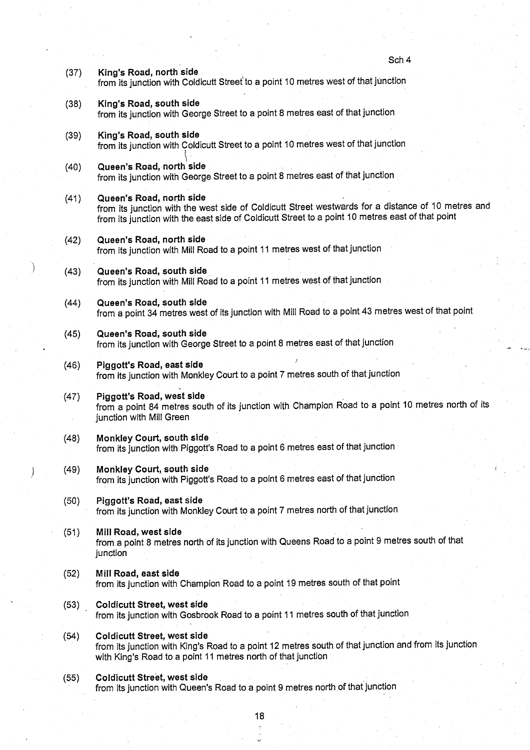Sch 4 (37) King'**s Road, north side** from its junction with Coldicutt Street to a point 10 metres west of that junction (38) King'**s Road**, **south side** from its junction with George Street to a point 8 metres east of that junction (39) King'**s Road**, **south side** from its junction with Coldicutt Street to a point 10 metres west of that junction (40) Queen'**s Road**, **north side** from its junction with George Street to a point 8 metres east of that junction (41) Queen'**s Road**, **north side** from its junction with the west side of Coldicutt Street westwards for a distance of 10 metres and from its junction with the east side of Coldicutt Street to a point 10 metres east of that point (42) Queen'**s Road**, **north side** from its junction with Mill Road to a point 11 metres west of that junction (43) Queen's Road, south side from its junction with Mill Road to a point 11 metres west of that junction (44) Queen**'s Road**, **south side** from a point 34 metres west of its junction with Mill Road to a point 43 metres west of that point (45) Queen'**s Road**, **south side** from its junction with George Street to a point **8 metres east** of that junction (46) Piggott'**s Road**, **east side** from its junction with Monkley Court to a point 7 metres south of that junction (47) Piggott'**s Road**, **west side** from a point 84 metres south of its junction with Champion Road to a point 10 metres north of its junction with Mill Green (48) Monkley Court, **south side** from its junction with Piggott's Road to a point 6 metres east of that junction (49) Monkley Court, **south side** from its junction with Piggott's Road to a point 6 metres east of that junction (50) Piggott'**s Road, east side** from its junction with Monkley Court to a point 7 metres north of that junction **(51) Mill Road**, **west side** from, a point 8 metres north of its junction with Queens Road to a point 9 metres south of that junction **(52) Mill Road**, **east side** from its junction with Champion Road to a point 19 metres south of that point (53) Coldicutt **Street**, **west side** from its junction with Gosbrook Road to a point 11 metres south of that junction (54) Coldicutt **Street**, **west side** from its junction with King's Road to a point 12 metres south of that junction and from its junction with King's Road to a point 11 metres north of that junction (55) Coldicutt **Street**, **west side** from its junction with Queen's Road to a point 9 metres north of that junction

**18**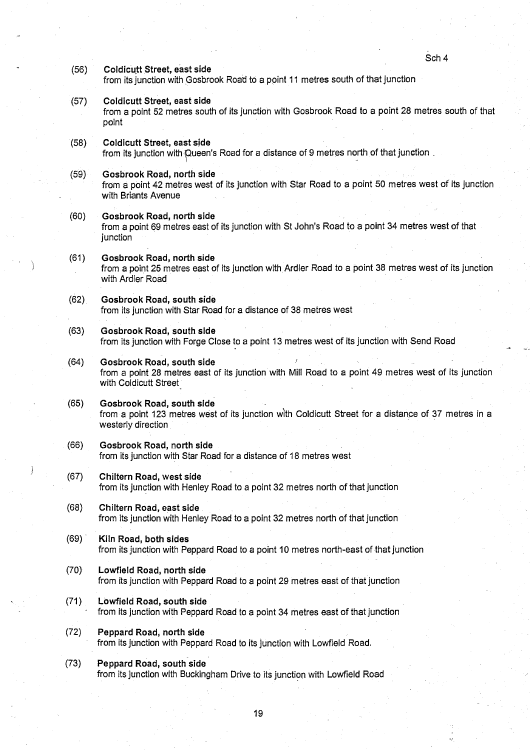Sch<sub>4</sub>

- (56) Coldicutt **Street, east side** from its junction with Gosbrook Road to a point 11 metres south of that junction
- (57) Coldicutt **Street, east side** from a point 52 metres south of its junction with Gosbrook Road to a point 28 metres south of that point
- (58) Coldicutt **Street, east side** from its junction with Queen's Road for a distance of 9 metres north of that junction
- (59) Gosbrook **Road**, **north side** from a point 42 metres west of its junction with Star Road to a point 50 metres west of its junction with Briants Avenue
- (60) Gosbrook **Road**, **north side** from a point 69 metres east of its junction with St John's Road to a point 34 metres west of that junction
- **(61) Gosbrook Road** , **north side** from a point 25 metres east of its junction with Ardler Road to a point 38 metres west of its junction with Ardler Road
- (62) Gosbrook **Road**, **south side** from its junction with Star Road for a distance of 38 metres west
- (63) Gosbrook **Road**, **south side** from its junction with Forge Close to a point 13 metres west of its junction with Send Road
- (64) Gosbrook **Road**, **south side** from a point 28 metres east of its junction with Mill Road to a point 49 metres west of its junction with Coldicutt Street
- (65) Gosbrook **Road** , **south side** from a point 123 metres west of its junction with Coldicutt Street for a distance of 37 metres in a westerly direction
- (66) Gosbrook **Road**, **north side** from its junction with Star Road for a distance of 18 metres west
- (67) Chiltern **Road** , **west side** from its junction with Henley Road to a point 32 metres north of that junction
- (68) Chiltern Road, **east side** from its junction with Henley Road to a point 32 metres north of that junction
- (69) Kiln **Road**, **both sides** from its junction with Peppard Road to a point 10 metres north-east of that junction
- (70) Lowfield **Road**, **no**rt**h side** from its junction with Peppard Road to a point 29 metres east of that junction
- (71) Lowfield **Road**, **south side** from its junction with Peppard Road to a point 34 metres east of that junction
- (72) Peppard **Road**, **north side** from its junction with Peppard Road to its junction with Lowfield Road.
- (73) Peppard **Road**, **south side** from its junction with Buckingham Drive to its junction with Lowfield Road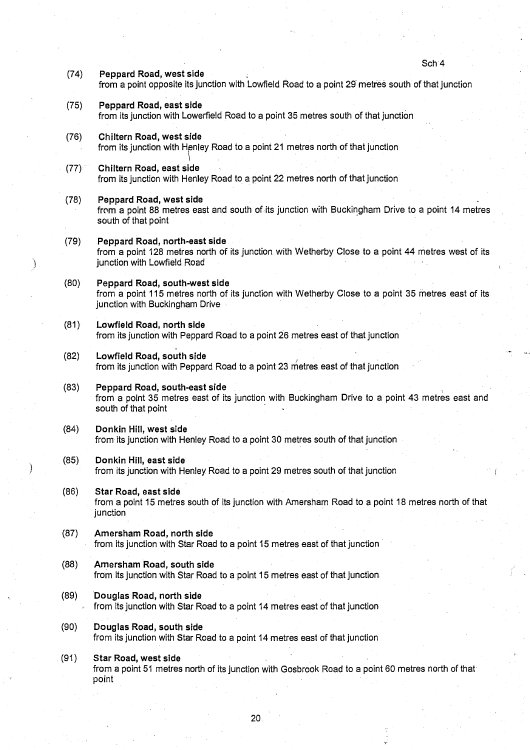Sch 4

- (74) Peppard **Road**, **west side** from a point opposite its junction with Lowfield Road to a point 29 metres south of that junction (75) Peppard **Road**, **east side** from its junction with Lowerfield Road to a point 35 metres south of that junction (76) Chiltern **Road**, **west side** from its junction with Hpnley Road to a point 21 metres north of that junction (77) Chiltern **Road**, **east side** from its junction with Henley Road to a point 22 metres north of that junction (78) Peppard **Road**, **west side** from a point 88 metres east and south of its junction with Buckingham Drive to a point 14 metres south of that point (79) Peppard **Road**, north-**east side** from a point 128 metres north of its junction with Wetherby Close to a point 44 metres west of its junction with Lowfield Road (80) Peppard **Road** , **south**-**west side**
	- from a point 115 metres north of its junction with Wetherby Close to a point 35 metres east of its junction with Buckingham Drive
- (81) Lowfield **Road**, **no** rt**h side** from its junction with Peppard Road to a point 26 metres east of that junction
- (82) Lowfield **Road**, **south side** from its junction with Peppard Road to a point 23 metres east of that junction
- (83) Peppard **Road**, **south**-**east side** from a point 35 metres east of its junction with Buckingham Drive to a point 43 metres east and south of that point
- (84) Donkin Hill, **west side** from, its junction with Henley Road to a point 30 metres south of that junction
- (85) Donkin Hill, **east side** from its junction with Henley Road to a point 29 metres south of that junction
- (86) Star Road, **east sid <sup>e</sup>**
	- from a point 15 metres south of its junction with Amersham Road to a point 18 metres north of that junction
- (87) Amersham **Road**, north side from its junction with Star Road to a point 15 metres east of that junction
- (88) Amersham **Road**, **south side** from its junction with Star Road to a point 15 metres east of that junction
- **(89) Douglas Road**, **north side** from its junction with Star Road to a point 14 metres east of that junction
- **(90) Douglas Road** , **south side** from its junction with Star Road to a point 14 metres east of that junction
- (91) Star **Road**, **west side** from a point 51 metres north of its junction with Gosbrook Road to a point 60 metres north of that point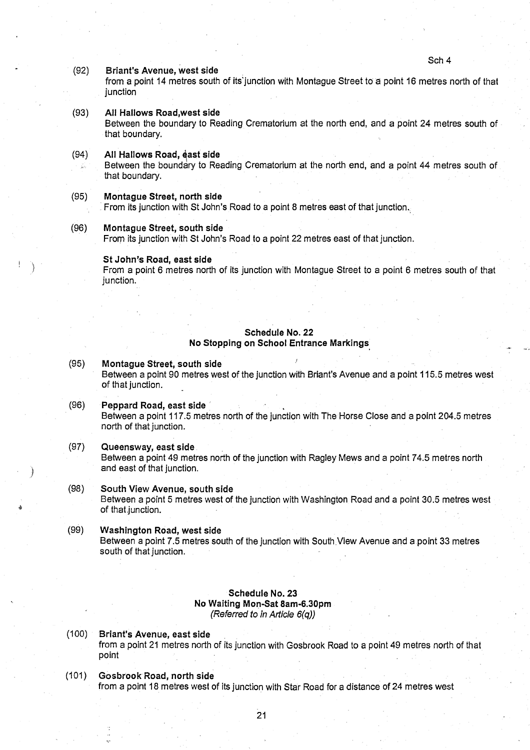Sch 4

#### (92) Briant's Avenue, **west side**

from a point 14 metres south of its'junction with Montague Street to a point 16 metres north of that junction

### (93) All Hallows **Road**,**west side**

Between the boundary to Reading Crematorium at the north end, and a point 24 metres south of that boundary.

#### (94) All Hallows **Road**, **cast side**

is.

Between the boundary to Reading Crematorium at the north end, and a point 44 metres south of that boundary.

# **(95) Montague Street**, **no**rt**h side**

From its junction with St John's Road to a point 8 metres east of that junction.

#### **(96) Montague Street**, **south side**

From its junction with St John's Road to a point 22 metres east of that junction .

#### St John'**s Road**, **east side**

From a point 6 metres north of its junction with Montague Street to a point 6 metres south of that junction.

# **Schedule No. 22 No Stopping on School Entrance Markings.**

# **(95) Montague Street**, **south side**

Between a point 90 metres west of the junction with Briant's Avenue and a point 115.5 metres west of that junction.

- (96) Peppard **Road**, **east side** Between a point 117 .5 metres north of the junction with The Horse Close and a point 204.5 metres north of that junction.
- (97) Queensway**, east side** Between a point 49 metres north of the junction with Ragley Mews and a point 74 .5 metres north and east of that junction.
- (98) South View Avenue, **south side** Between a point 5 metres west of the junction with Washington Road and a point 30 .5 metres west of that junction.

# **(99) Washington Road**, **west side** Between a point 7 .5 metres south of the junction with South View Avenue and a point 33 metres south of that junction.

### **Schedule No. 23 No Waiting Mon-Sat 8am-6.30pm** *(Referred to in Article 6(q))*

- (100) Briant's Avenue, **east side** from a point 21 metres north of its junction with Gosbrook Road to a point 49 metres north of that point
- (101) Gosbrook' **Road, no**rt**h side** from a point 18 metres west of its junction with Star Road for a distance of 24 metres west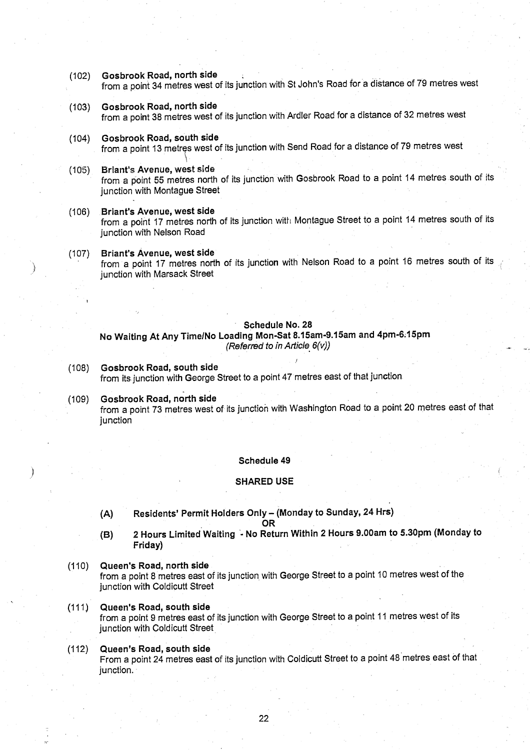(102) Gosbrook **Road, north side**

from a point 34 metres west of its junction with St John's Road for a distance of 79 metres west

- (103) Gosbrook **Road**, **north side** from a point 38 metres west of its junction with Ardler Road for a distance of 32 metres west
- (104) Gosbrook **Road** , **south side** from a point 13 metres west of its junction with Send Road for a distance of 79 metres west
- (10'5) Briant's Avenue, west side from a point 55 metres north of its junction with Gosbrook Road to a point 14 metres south of its junction with Montague Street
- **(106) Briant**'**s Avenue**, **west side** from a point 17 metres north of its junction with Montague Street to a point 14 metres south of its junction with Nelson Road
- (107) Briant's Avenue, **west side** from a point 17 metres north of its junction with Nelson Road to a point 16 metres south of its junction with Marsack Street

#### **Schedule No . 28**

No Waiting At Any Time/ **No Loading Mon-Sat 8** .**15am**-**9.15am and 4pm-6:15pm** *(Referred* to *in Article 6(v))*

- (108) Gosbrook **Road**, **south side** from its junction with George Street to a point 47 metres east of that junction .
- (109) Gosbrook **Road**, **north side** from a point 73 metres west of its junction with Washington Road to a point 20 metres east of that junction

#### **Schedule 49**

### **SHARED US E**

(A) Residents' Permit Holders Only - (Monday to Sunday, 24 Hrs)

OR

- **(B) 2 Hours Limited Waiting** '- **No Return Within 2 Hours 9 .00am to 5**.30pm ( **Monday to** Friday)
- (110) Queen'**s Road**, **no**rt**h side**

from a point 8 metres east of its junction with George Street to a point 10 metres west of the junction with Coldicutt Street

- **(111) Queen**'**s Road**, **south side** from a point 9 metres east of its junction with George Street to a point 11 metres west of its junction with Coldicutt Street
- (112) Queen'**s Road** , **south side** From a point 24 metres east of its junction with Coldicutt Street to a point 48 metres east of that junction.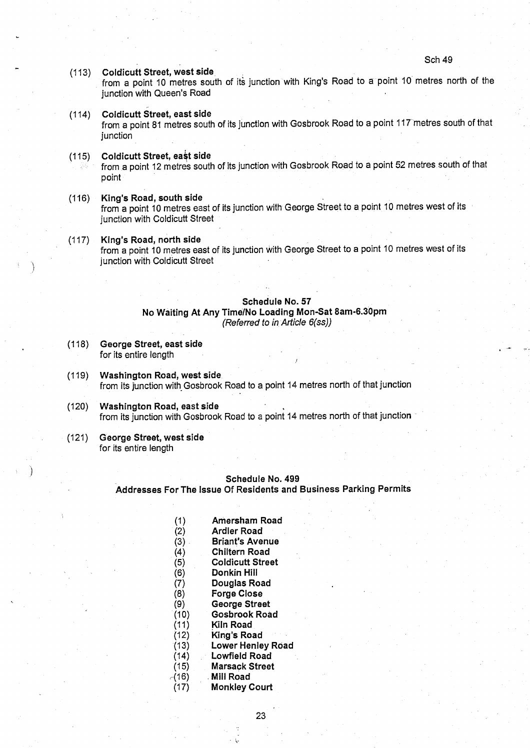Sch 49

#### (113) Coldicutt **Street**, **west side .**

from a point 10 metres south of its junction with King's Road to a point 10 metres north of the junction with Queen's Road

(114) Coldicutt **Street, east side**

from a point 81 metres south of its junction with Gosbrook Road to a point 117 metres south of that junction

## (115) Coldicutt **Street**, **ea't side**

from ,a point 12 metres south of its junction with Gosbrook Road to a point 52 metres south of that point

- (116) King'**s Road**, **south side** from a point 10 metres east of its junction with George Street to a point 10 metres west of its junction with Coldicutt Street
- (117) King **'s Road**, **north side**

from a point 10 metres east of its junction with George Street to a point 10 metres west of its junction with Coldicutt Street

#### **Schedule No. 57**

**No Waiting** At Any Time/**No Loading Mon-Sat** 8**am**-**6.30pm**

*(Referred to in Article* 6(ss))

- **(118) George Street**, **east side** for its entire length
- **(119) Washington Road**, **west side** from its junction with Gosbrook Road to a point 14 metres north of that junction
- (120) Washington **Road**, **east side** from its junction with Gosbrook Road to a point 14 metres north of that junction
- (121) George Street, **west side** for its entire length

# **Schedule No. 499**

Addresses For The Issue **Of Residents and Business Parking Permits**

**(1) Amersham Road (2) Ardler Road (3) Briant's Avenue (4) Chiltern Road (5) Coldicutt Street (6) Donkin Hil <sup>l</sup> (7) Douglas Road (8) Forge Close (9) George Street (10) Gosbrook Road (11) Kiln Road (12) King's Road (13) Lower Henley Road (14) Lowfield Road (15) Marsack Street x(16) Mill Road** (17) Monkley Court